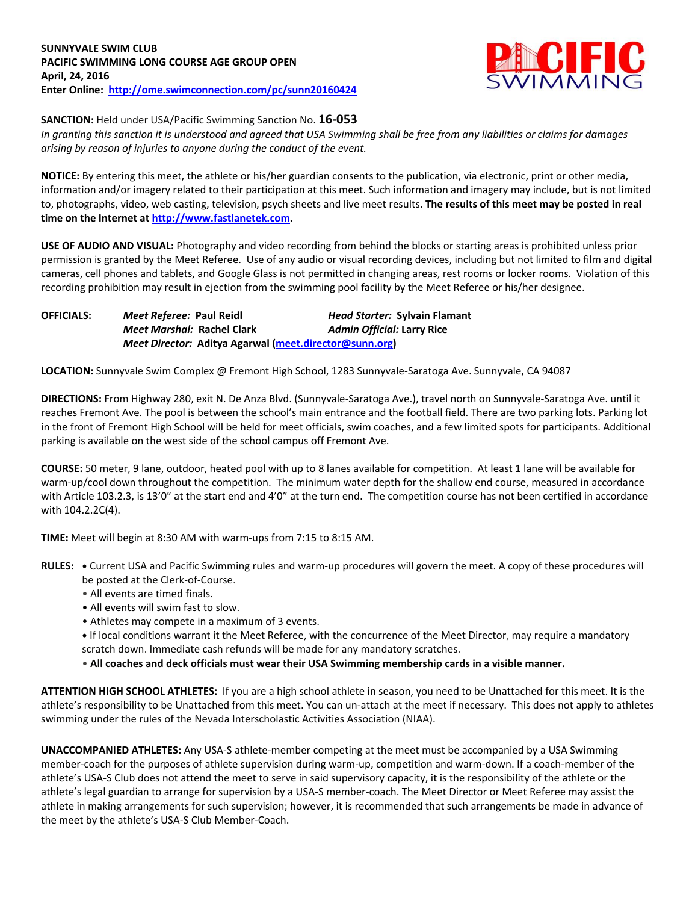

**SANCTION:** Held under USA/Pacific Swimming Sanction No. **16-053**

*In granting this sanction it is understood and agreed that USA Swimming shall be free from any liabilities or claims for damages arising by reason of injuries to anyone during the conduct of the event.*

**NOTICE:** By entering this meet, the athlete or his/her guardian consents to the publication, via electronic, print or other media, information and/or imagery related to their participation at this meet. Such information and imagery may include, but is not limited to, photographs, video, web casting, television, psych sheets and live meet results. **The results of this meet may be posted in real time on the Internet at [http://www.fastlanetek.com.](http://www.fastlanetek.com/)**

**USE OF AUDIO AND VISUAL:** Photography and video recording from behind the blocks or starting areas is prohibited unless prior permission is granted by the Meet Referee. Use of any audio or visual recording devices, including but not limited to film and digital cameras, cell phones and tablets, and Google Glass is not permitted in changing areas, rest rooms or locker rooms. Violation of this recording prohibition may result in ejection from the swimming pool facility by the Meet Referee or his/her designee.

| <b>OFFICIALS:</b> | Meet Referee: Paul Reidl                               | <b>Head Starter: Sylvain Flamant</b> |
|-------------------|--------------------------------------------------------|--------------------------------------|
|                   | Meet Marshal: Rachel Clark                             | <b>Admin Official: Larry Rice</b>    |
|                   | Meet Director: Aditya Agarwal (meet.director@sunn.org) |                                      |

**LOCATION:** Sunnyvale Swim Complex @ Fremont High School, 1283 Sunnyvale-Saratoga Ave. Sunnyvale, CA 94087

**DIRECTIONS:** From Highway 280, exit N. De Anza Blvd. (Sunnyvale-Saratoga Ave.), travel north on Sunnyvale-Saratoga Ave. until it reaches Fremont Ave. The pool is between the school's main entrance and the football field. There are two parking lots. Parking lot in the front of Fremont High School will be held for meet officials, swim coaches, and a few limited spots for participants. Additional parking is available on the west side of the school campus off Fremont Ave.

**COURSE:** 50 meter, 9 lane, outdoor, heated pool with up to 8 lanes available for competition. At least 1 lane will be available for warm-up/cool down throughout the competition. The minimum water depth for the shallow end course, measured in accordance with Article 103.2.3, is 13'0" at the start end and 4'0" at the turn end. The competition course has not been certified in accordance with 104.2.2C(4).

**TIME:** Meet will begin at 8:30 AM with warm-ups from 7:15 to 8:15 AM.

- **RULES: •** Current USA and Pacific Swimming rules and warm-up procedures will govern the meet. A copy of these procedures will be posted at the Clerk-of-Course.
	- All events are timed finals.
	- All events will swim fast to slow.
	- Athletes may compete in a maximum of 3 events.
	- **•** If local conditions warrant it the Meet Referee, with the concurrence of the Meet Director, may require a mandatory scratch down. Immediate cash refunds will be made for any mandatory scratches.
	- **All coaches and deck officials must wear their USA Swimming membership cards in a visible manner.**

**ATTENTION HIGH SCHOOL ATHLETES:** If you are a high school athlete in season, you need to be Unattached for this meet. It is the athlete's responsibility to be Unattached from this meet. You can un-attach at the meet if necessary. This does not apply to athletes swimming under the rules of the Nevada Interscholastic Activities Association (NIAA).

**UNACCOMPANIED ATHLETES:** Any USA-S athlete-member competing at the meet must be accompanied by a USA Swimming member-coach for the purposes of athlete supervision during warm-up, competition and warm-down. If a coach-member of the athlete's USA-S Club does not attend the meet to serve in said supervisory capacity, it is the responsibility of the athlete or the athlete's legal guardian to arrange for supervision by a USA-S member-coach. The Meet Director or Meet Referee may assist the athlete in making arrangements for such supervision; however, it is recommended that such arrangements be made in advance of the meet by the athlete's USA-S Club Member-Coach.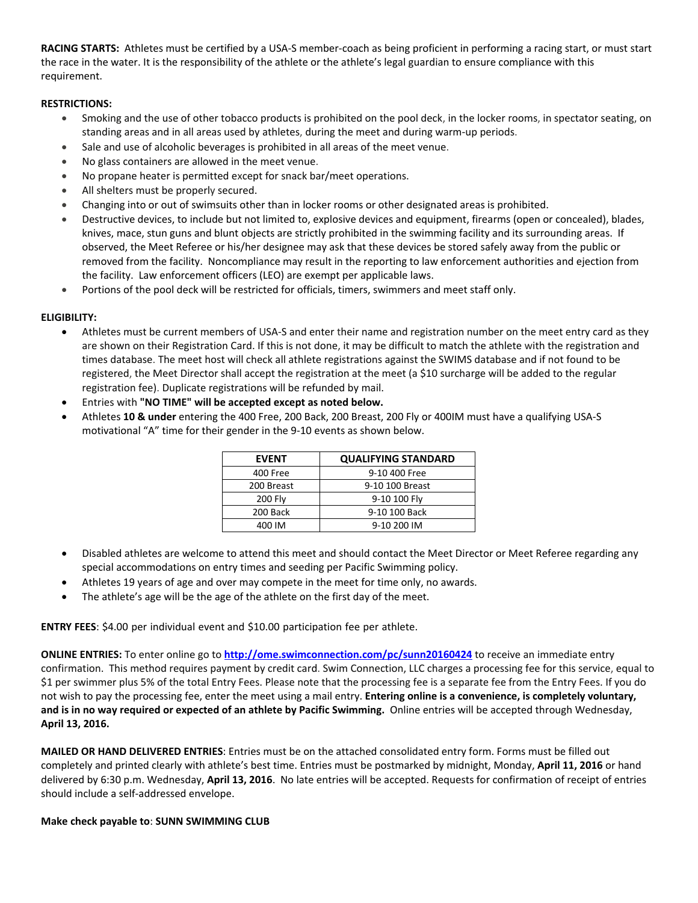**RACING STARTS:** Athletes must be certified by a USA-S member-coach as being proficient in performing a racing start, or must start the race in the water. It is the responsibility of the athlete or the athlete's legal guardian to ensure compliance with this requirement.

# **RESTRICTIONS:**

- Smoking and the use of other tobacco products is prohibited on the pool deck, in the locker rooms, in spectator seating, on standing areas and in all areas used by athletes, during the meet and during warm-up periods.
- Sale and use of alcoholic beverages is prohibited in all areas of the meet venue.
- No glass containers are allowed in the meet venue.
- No propane heater is permitted except for snack bar/meet operations.
- All shelters must be properly secured.
- Changing into or out of swimsuits other than in locker rooms or other designated areas is prohibited.
- Destructive devices, to include but not limited to, explosive devices and equipment, firearms (open or concealed), blades, knives, mace, stun guns and blunt objects are strictly prohibited in the swimming facility and its surrounding areas. If observed, the Meet Referee or his/her designee may ask that these devices be stored safely away from the public or removed from the facility. Noncompliance may result in the reporting to law enforcement authorities and ejection from the facility. Law enforcement officers (LEO) are exempt per applicable laws.
- Portions of the pool deck will be restricted for officials, timers, swimmers and meet staff only.

# **ELIGIBILITY:**

- Athletes must be current members of USA-S and enter their name and registration number on the meet entry card as they are shown on their Registration Card. If this is not done, it may be difficult to match the athlete with the registration and times database. The meet host will check all athlete registrations against the SWIMS database and if not found to be registered, the Meet Director shall accept the registration at the meet (a \$10 surcharge will be added to the regular registration fee). Duplicate registrations will be refunded by mail.
- Entries with **"NO TIME" will be accepted except as noted below.**
- Athletes **10 & under** entering the 400 Free, 200 Back, 200 Breast, 200 Fly or 400IM must have a qualifying USA-S motivational "A" time for their gender in the 9-10 events as shown below.

| <b>EVENT</b>   | <b>QUALIFYING STANDARD</b> |  |  |  |  |  |
|----------------|----------------------------|--|--|--|--|--|
| 400 Free       | 9-10 400 Free              |  |  |  |  |  |
| 200 Breast     | 9-10 100 Breast            |  |  |  |  |  |
| <b>200 Fly</b> | 9-10 100 Fly               |  |  |  |  |  |
| 200 Back       | 9-10 100 Back              |  |  |  |  |  |
| 400 IM         | 9-10 200 IM                |  |  |  |  |  |

- Disabled athletes are welcome to attend this meet and should contact the Meet Director or Meet Referee regarding any special accommodations on entry times and seeding per Pacific Swimming policy.
- Athletes 19 years of age and over may compete in the meet for time only, no awards.
- The athlete's age will be the age of the athlete on the first day of the meet.

**ENTRY FEES**: \$4.00 per individual event and \$10.00 participation fee per athlete.

**ONLINE ENTRIES:** To enter online go to **<http://ome.swimconnection.com/pc/sunn20160424>** to receive an immediate entry confirmation. This method requires payment by credit card. Swim Connection, LLC charges a processing fee for this service, equal to \$1 per swimmer plus 5% of the total Entry Fees. Please note that the processing fee is a separate fee from the Entry Fees. If you do not wish to pay the processing fee, enter the meet using a mail entry. **Entering online is a convenience, is completely voluntary, and is in no way required or expected of an athlete by Pacific Swimming.** Online entries will be accepted through Wednesday, **April 13, 2016.**

**MAILED OR HAND DELIVERED ENTRIES**: Entries must be on the attached consolidated entry form. Forms must be filled out completely and printed clearly with athlete's best time. Entries must be postmarked by midnight, Monday, **April 11, 2016** or hand delivered by 6:30 p.m. Wednesday, **April 13, 2016**. No late entries will be accepted. Requests for confirmation of receipt of entries should include a self-addressed envelope.

# **Make check payable to**: **SUNN SWIMMING CLUB**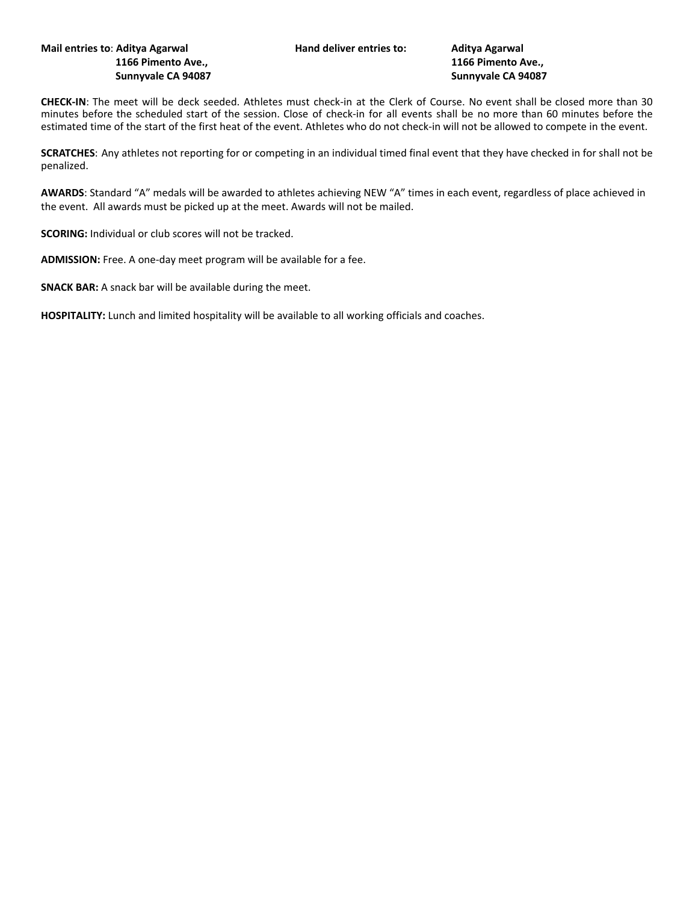## **Mail entries to**: **Aditya Agarwal Hand deliver entries to: Aditya Agarwal 1166 Pimento Ave., 1166 Pimento Ave., Sunnyvale CA 94087 Sunnyvale CA 94087**

**CHECK-IN**: The meet will be deck seeded. Athletes must check-in at the Clerk of Course. No event shall be closed more than 30 minutes before the scheduled start of the session. Close of check-in for all events shall be no more than 60 minutes before the estimated time of the start of the first heat of the event. Athletes who do not check-in will not be allowed to compete in the event.

**SCRATCHES**: Any athletes not reporting for or competing in an individual timed final event that they have checked in for shall not be penalized.

**AWARDS**: Standard "A" medals will be awarded to athletes achieving NEW "A" times in each event, regardless of place achieved in the event. All awards must be picked up at the meet. Awards will not be mailed.

**SCORING:** Individual or club scores will not be tracked.

**ADMISSION:** Free. A one-day meet program will be available for a fee.

**SNACK BAR:** A snack bar will be available during the meet.

**HOSPITALITY:** Lunch and limited hospitality will be available to all working officials and coaches.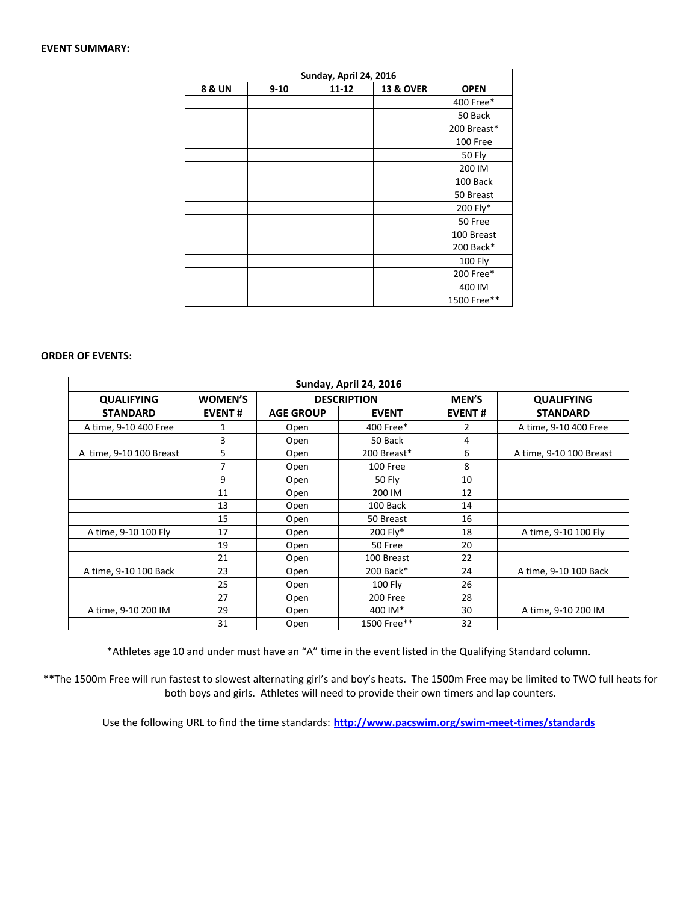## **EVENT SUMMARY:**

| Sunday, April 24, 2016 |          |           |                      |                |  |  |  |
|------------------------|----------|-----------|----------------------|----------------|--|--|--|
| 8 & UN                 | $9 - 10$ | $11 - 12$ | <b>13 &amp; OVER</b> | <b>OPEN</b>    |  |  |  |
|                        |          |           |                      | 400 Free*      |  |  |  |
|                        |          |           |                      | 50 Back        |  |  |  |
|                        |          |           |                      | 200 Breast*    |  |  |  |
|                        |          |           |                      | 100 Free       |  |  |  |
|                        |          |           |                      | <b>50 Fly</b>  |  |  |  |
|                        |          |           |                      | 200 IM         |  |  |  |
|                        |          |           |                      | 100 Back       |  |  |  |
|                        |          |           |                      | 50 Breast      |  |  |  |
|                        |          |           |                      | 200 Fly*       |  |  |  |
|                        |          |           |                      | 50 Free        |  |  |  |
|                        |          |           |                      | 100 Breast     |  |  |  |
|                        |          |           |                      | 200 Back*      |  |  |  |
|                        |          |           |                      | <b>100 Fly</b> |  |  |  |
|                        |          |           |                      | 200 Free*      |  |  |  |
|                        |          |           |                      | 400 IM         |  |  |  |
|                        |          |           |                      | 1500 Free**    |  |  |  |

## **ORDER OF EVENTS:**

| Sunday, April 24, 2016  |                |                    |              |               |                         |  |  |  |  |  |
|-------------------------|----------------|--------------------|--------------|---------------|-------------------------|--|--|--|--|--|
| <b>QUALIFYING</b>       | <b>WOMEN'S</b> | <b>DESCRIPTION</b> |              | <b>MEN'S</b>  | <b>QUALIFYING</b>       |  |  |  |  |  |
| <b>STANDARD</b>         | <b>EVENT#</b>  | <b>AGE GROUP</b>   | <b>EVENT</b> | <b>EVENT#</b> | <b>STANDARD</b>         |  |  |  |  |  |
| A time, 9-10 400 Free   | 1              | Open               | 400 Free*    | 2             | A time, 9-10 400 Free   |  |  |  |  |  |
|                         | 3              | Open               | 50 Back      | 4             |                         |  |  |  |  |  |
| A time, 9-10 100 Breast | 5              | Open               | 200 Breast*  | 6             | A time, 9-10 100 Breast |  |  |  |  |  |
|                         | 7              | Open               | 100 Free     | 8             |                         |  |  |  |  |  |
|                         | 9              | Open               | 50 Fly       | 10            |                         |  |  |  |  |  |
|                         | 11             | Open               | 200 IM       | 12            |                         |  |  |  |  |  |
|                         | 13             | Open               | 100 Back     | 14            |                         |  |  |  |  |  |
|                         | 15             | Open               | 50 Breast    | 16            |                         |  |  |  |  |  |
| A time, 9-10 100 Fly    | 17             | Open               | 200 Fly*     | 18            | A time, 9-10 100 Fly    |  |  |  |  |  |
|                         | 19             | Open               | 50 Free      | 20            |                         |  |  |  |  |  |
|                         | 21             | Open               | 100 Breast   | 22            |                         |  |  |  |  |  |
| A time, 9-10 100 Back   | 23             | Open               | 200 Back*    | 24            | A time, 9-10 100 Back   |  |  |  |  |  |
|                         | 25             | Open               | $100$ Fly    | 26            |                         |  |  |  |  |  |
|                         | 27             | Open               | 200 Free     | 28            |                         |  |  |  |  |  |
| A time, 9-10 200 IM     | 29             | Open               | 400 IM*      | 30            | A time, 9-10 200 IM     |  |  |  |  |  |
|                         | 31             | Open               | 1500 Free**  | 32            |                         |  |  |  |  |  |

\*Athletes age 10 and under must have an "A" time in the event listed in the Qualifying Standard column.

\*\*The 1500m Free will run fastest to slowest alternating girl's and boy's heats. The 1500m Free may be limited to TWO full heats for both boys and girls. Athletes will need to provide their own timers and lap counters.

Use the following URL to find the time standards: **<http://www.pacswim.org/swim-meet-times/standards>**